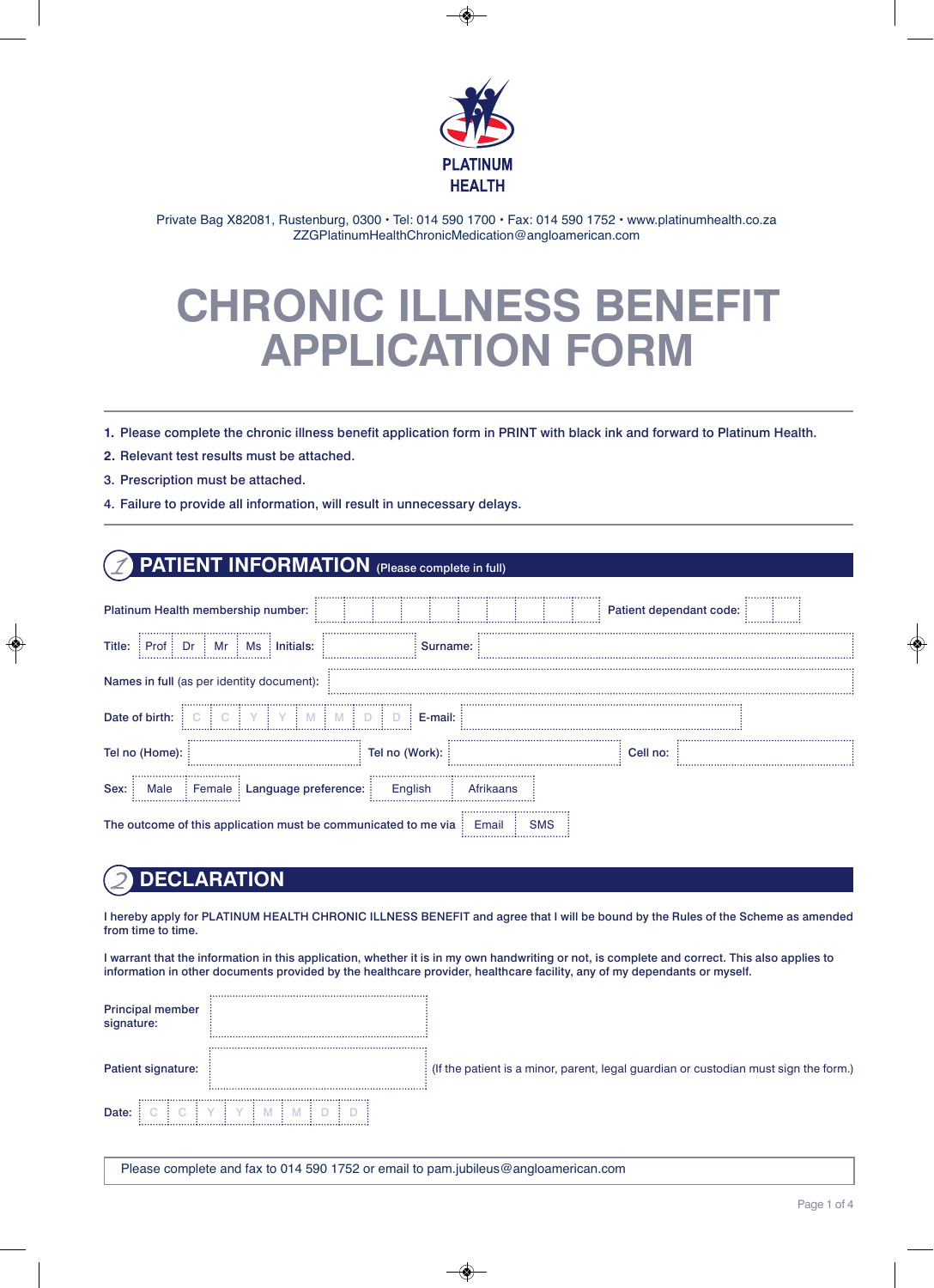

Private Bag X82081, Rustenburg, 0300 · Tel: 014 590 1700 · Fax: 014 590 1752 · www.platinumhealth.co.za ZZGPlatinumHealthChronicMedication@angloamerican.com

# **CHRONIC ILLNESS BENEFIT APPLICATION FORM**

1. Please complete the chronic illness benefit application form in PRINT with black ink and forward to Platinum Health.

- **2.** Relevant test results must be attached.
- 3. Prescription must be attached.
- 4. Failure to provide all information, will result in unnecessary delays.

### **PATIENT INFORMATION** (Please complete in full)

| Platinum Health membership number:                                      |                |              | Patient dependant code: | . <b>. .</b> |  |  |  |  |  |
|-------------------------------------------------------------------------|----------------|--------------|-------------------------|--------------|--|--|--|--|--|
| Title:<br>Mr<br>Initials:<br>Dr<br>Ms<br>Prof                           | <br>Surname:   |              |                         |              |  |  |  |  |  |
| Names in full (as per identity document):                               |                |              |                         |              |  |  |  |  |  |
| Date of birth:                                                          | E-mail:        |              |                         |              |  |  |  |  |  |
| <br>Tel no (Home):                                                      | Tel no (Work): |              | Cell no:                |              |  |  |  |  |  |
| Sex:<br>: Female : Language preference:<br>English<br>Male<br>Afrikaans |                |              |                         |              |  |  |  |  |  |
| The outcome of this application must be communicated to me via          |                | SMS<br>Email |                         |              |  |  |  |  |  |

### 2 **DECLARATION**

I hereby apply for PLATINUM HEALTH CHRONIC ILLNESS BENEFIT and agree that I will be bound by the Rules of the Scheme as amended from time to time.

I warrant that the information in this application, whether it is in my own handwriting or not, is complete and correct. This also applies to information in other documents provided by the healthcare provider, healthcare facility, any of my dependants or myself.

| <b>Principal member</b><br>signature: |                                                                                        |
|---------------------------------------|----------------------------------------------------------------------------------------|
| Patient signature:                    | : (If the patient is a minor, parent, legal guardian or custodian must sign the form.) |
| Date:                                 |                                                                                        |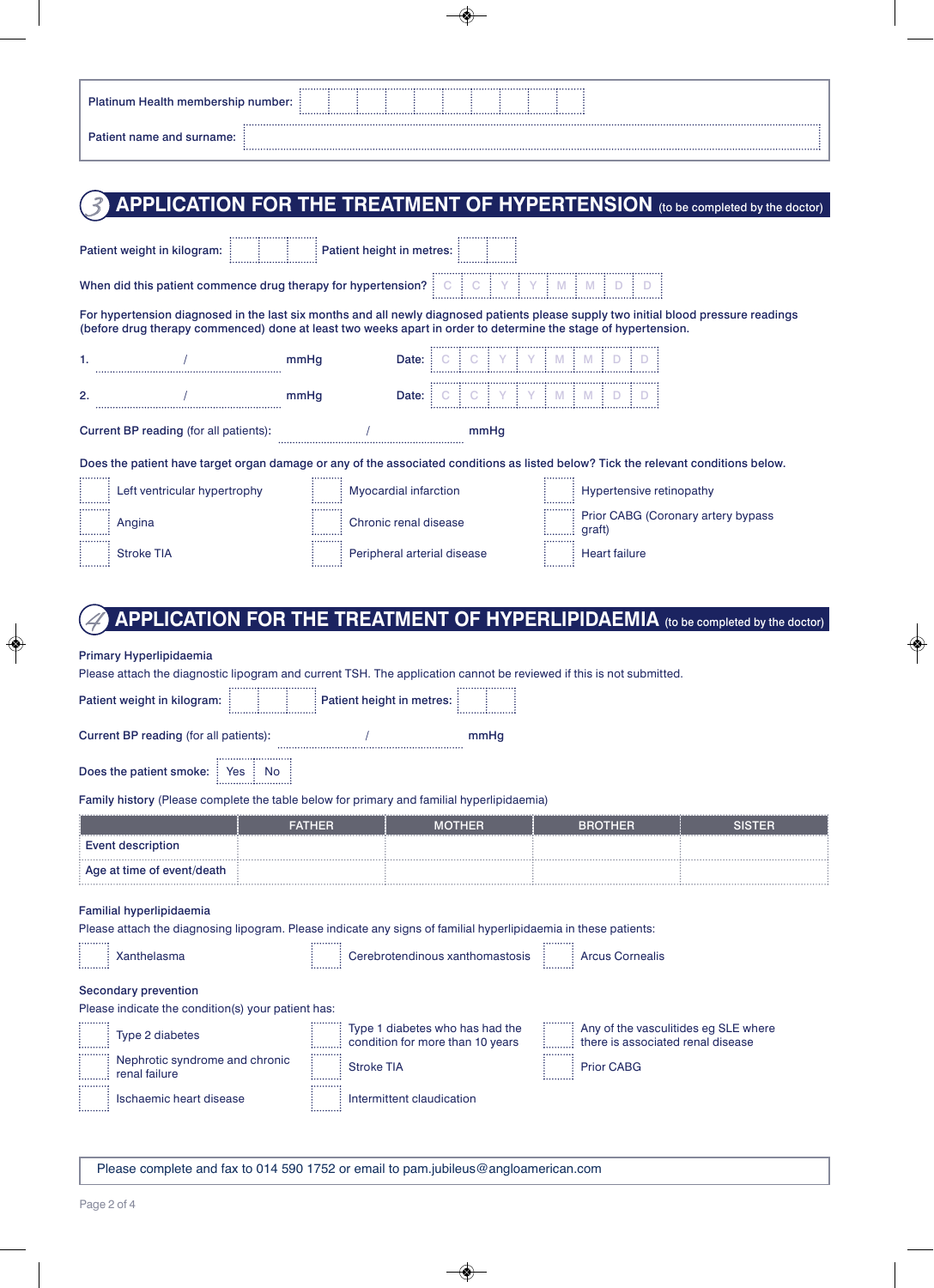| <b>Platinum Health membership number: :</b> |  |  |  |  |  |  |  |  |  |  |  |  |  |  |  |  |  |  |  |  |  |
|---------------------------------------------|--|--|--|--|--|--|--|--|--|--|--|--|--|--|--|--|--|--|--|--|--|
| Patient name and surname:                   |  |  |  |  |  |  |  |  |  |  |  |  |  |  |  |  |  |  |  |  |  |

# APPLICATION FOR THE TREATMENT OF HYPERTENSION (to be completed by the doctor)

| When did this patient commence drug therapy for hypertension? $\vdots$ $\circ$ $\vdots$ $\circ$ $\vdots$ $\vee$ $\vdots$ $\vee$ $\vdots$ $\wedge$ $\vdots$ $\wedge$ $\vdots$ $\wedge$ $\vdots$ $\wedge$ $\vdots$ $\wedge$<br>For hypertension diagnosed in the last six months and all newly diagnosed patients please supply two initial blood pressure readings<br>(before drug therapy commenced) done at least two weeks apart in order to determine the stage of hypertension.<br>mmHq<br>Date: :<br>mmHq<br>Current BP reading (for all patients):<br>mmHq<br>Does the patient have target organ damage or any of the associated conditions as listed below? Tick the relevant conditions below. |  |  |  |  |  |  |  |  |  |  |  |  |  |
|--------------------------------------------------------------------------------------------------------------------------------------------------------------------------------------------------------------------------------------------------------------------------------------------------------------------------------------------------------------------------------------------------------------------------------------------------------------------------------------------------------------------------------------------------------------------------------------------------------------------------------------------------------------------------------------------------------|--|--|--|--|--|--|--|--|--|--|--|--|--|
| 1.<br>2.                                                                                                                                                                                                                                                                                                                                                                                                                                                                                                                                                                                                                                                                                               |  |  |  |  |  |  |  |  |  |  |  |  |  |
|                                                                                                                                                                                                                                                                                                                                                                                                                                                                                                                                                                                                                                                                                                        |  |  |  |  |  |  |  |  |  |  |  |  |  |
|                                                                                                                                                                                                                                                                                                                                                                                                                                                                                                                                                                                                                                                                                                        |  |  |  |  |  |  |  |  |  |  |  |  |  |
|                                                                                                                                                                                                                                                                                                                                                                                                                                                                                                                                                                                                                                                                                                        |  |  |  |  |  |  |  |  |  |  |  |  |  |
|                                                                                                                                                                                                                                                                                                                                                                                                                                                                                                                                                                                                                                                                                                        |  |  |  |  |  |  |  |  |  |  |  |  |  |
|                                                                                                                                                                                                                                                                                                                                                                                                                                                                                                                                                                                                                                                                                                        |  |  |  |  |  |  |  |  |  |  |  |  |  |
| Left ventricular hypertrophy<br>Hypertensive retinopathy<br>Myocardial infarction                                                                                                                                                                                                                                                                                                                                                                                                                                                                                                                                                                                                                      |  |  |  |  |  |  |  |  |  |  |  |  |  |
| Prior CABG (Coronary artery bypass<br>Chronic renal disease<br>Angina<br>graft)                                                                                                                                                                                                                                                                                                                                                                                                                                                                                                                                                                                                                        |  |  |  |  |  |  |  |  |  |  |  |  |  |
| <b>Heart failure</b><br><b>Stroke TIA</b><br>Peripheral arterial disease                                                                                                                                                                                                                                                                                                                                                                                                                                                                                                                                                                                                                               |  |  |  |  |  |  |  |  |  |  |  |  |  |
|                                                                                                                                                                                                                                                                                                                                                                                                                                                                                                                                                                                                                                                                                                        |  |  |  |  |  |  |  |  |  |  |  |  |  |
| <b>APPLICATION FOR THE TREATMENT OF HYPERLIPIDAEMIA</b> (to be completed by the doctor)                                                                                                                                                                                                                                                                                                                                                                                                                                                                                                                                                                                                                |  |  |  |  |  |  |  |  |  |  |  |  |  |

### Primary Hyperlipidaemia

Please attach the diagnostic lipogram and current TSH. The application cannot be reviewed if this is not submitted.<br>
Figure 2021 (1992)

| Patient weight in kilogram: |  | : Patient height in metres: : |  |
|-----------------------------|--|-------------------------------|--|
|                             |  |                               |  |

Current BP reading (for all patients): \/ performance multiple multiple multiple multiple multiple multiple multiple multiple multiple multiple multiple multiple multiple multiple multiple multiple multiple multiple multip

. . . . . . . . . .

Does the patient smoke: Yes No

### Family history (Please complete the table below for primary and familial hyperlipidaemia)

يستنبوا

|                            | <b>FATHER</b> | <b>MOTHER</b> | <b>BROTHER</b> | <b>NSTER</b> |
|----------------------------|---------------|---------------|----------------|--------------|
| <b>Event description</b>   |               |               |                |              |
| Age at time of event/death |               |               |                |              |

وللتنبيذ

#### Familial hyperlipidaemia

والمتملحو

Please attach the diagnosing lipogram. Please indicate any signs of familial hyperlipidaemia in these patients:

| Xanthelasma                                        | Cerebrotendinous xanthomastosis<br>                                 | <b>Arcus Cornealis</b><br>                                                |
|----------------------------------------------------|---------------------------------------------------------------------|---------------------------------------------------------------------------|
| Secondary prevention                               |                                                                     |                                                                           |
| Please indicate the condition(s) your patient has: |                                                                     |                                                                           |
| Type 2 diabetes                                    | Type 1 diabetes who has had the<br>condition for more than 10 years | Any of the vasculitides eg SLE where<br>there is associated renal disease |
| Nephrotic syndrome and chronic<br>renal failure    | <b>Stroke TIA</b><br>                                               | <br><b>Prior CABG</b><br>                                                 |
| Ischaemic heart disease                            | Intermittent claudication                                           |                                                                           |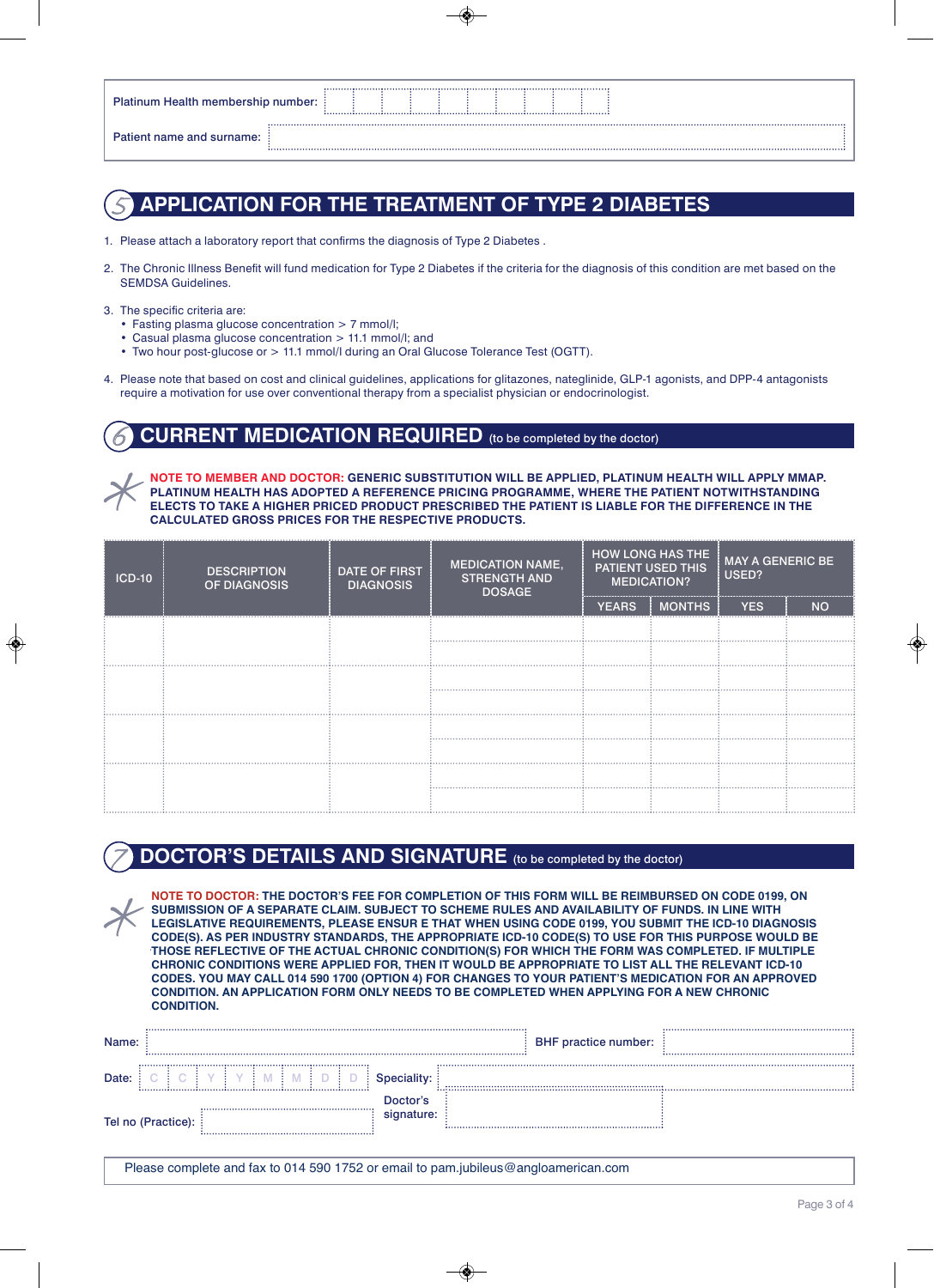| <b>Platinum Health membership number: :</b> |  |  |  |  |  |  |  |  |  |
|---------------------------------------------|--|--|--|--|--|--|--|--|--|
| Patient name and surname:                   |  |  |  |  |  |  |  |  |  |

# 5 **APPLICATION FOR THE TREATMENT OF TYPE 2 DIABETES**

- 1. Please attach a laboratory report that confirms the diagnosis of Type 2 Diabetes.
- 2. The Chronic Illness Benefit will fund medication for Type 2 Diabetes if the criteria for the diagnosis of this condition are met based on the SEMDSA Guidelines.
- 3. The specific criteria are:
	- Fasting plasma glucose concentration > 7 mmol/l;
	- Casual plasma glucose concentration > 11.1 mmol/l; and
	- Two hour post-glucose or > 11.1 mmol/l during an Oral Glucose Tolerance Test (OGTT).
- 4. Please note that based on cost and clinical guidelines, applications for glitazones, nateglinide, GLP-1 agonists, and DPP-4 antagonists require a motivation for use over conventional therapy from a specialist physician or endocrinologist.

### **CURRENT MEDICATION REQUIRED** (to be completed by the doctor)

**NOTE TO MEMBER AND DOCTOR: GENERIC SUBSTITUTION WILL BE APPLIED, PLATINUM HEALTH WILL APPLY MMAP. PLATINUM HEALTH HAS ADOPTED A REFERENCE PRICING PROGRAMME, WHERE THE PATIENT NOTWITHSTANDING ELECTS TO TAKE A HIGHER PRICED PRODUCT PRESCRIBED THE PATIENT IS LIABLE FOR THE DIFFERENCE IN THE CALCULATED GROSS PRICES FOR THE RESPECTIVE PRODUCTS.**

| <b>ICD-10</b> | <b>DESCRIPTION</b><br>OF DIAGNOSIS | <b>DATE OF FIRST</b><br><b>DIAGNOSIS</b> | <b>MEDICATION NAME,</b><br><b>STRENGTH AND</b><br><b>DOSAGE</b> | <b>HOW LONG HAS THE</b><br>PATIENT USED THIS<br><b>MEDICATION?</b> |        | <b>MAY A GENERIC BE</b><br>USED? |           |  |  |
|---------------|------------------------------------|------------------------------------------|-----------------------------------------------------------------|--------------------------------------------------------------------|--------|----------------------------------|-----------|--|--|
|               |                                    |                                          |                                                                 | <b>YEARS</b>                                                       | MONTHS | <b>YES</b>                       | <b>NO</b> |  |  |
|               |                                    |                                          |                                                                 |                                                                    |        |                                  |           |  |  |
|               |                                    |                                          |                                                                 |                                                                    |        |                                  |           |  |  |
|               |                                    |                                          |                                                                 |                                                                    |        |                                  |           |  |  |
|               |                                    |                                          |                                                                 |                                                                    |        |                                  |           |  |  |
|               |                                    |                                          |                                                                 |                                                                    |        |                                  |           |  |  |
|               |                                    |                                          |                                                                 |                                                                    |        |                                  |           |  |  |
|               |                                    |                                          |                                                                 |                                                                    |        |                                  |           |  |  |
|               |                                    |                                          |                                                                 |                                                                    |        |                                  |           |  |  |

## **DOCTOR'S DETAILS AND SIGNATURE** (to be completed by the doctor)

**NOTE TO DOCTOR: THE DOCTOR'S FEE FOR COMPLETION OF THIS FORM WILL BE REIMBURSED ON CODE 0199, NOTE TO DOCTOR: THE DOCTOR'S FEE FOR COMPLETION OF THIS FORM WILL BE REIMBURSED ON CODE 0199, ON ON SUBMISSION OF A SEPARATE CLAIM. SUBJECT TO SCHEME RULES AND AVAILABILITY OF FUNDS. IN LINE WITH SUBMISSION OF A SEPARATE CLAIM. SUBJECT TO SCHEME RULES AND AVAILABILITY OF FUNDS. IN LINE WITH LEGISLATIVE REQUIREMENTS, PLEASE ENSURE THAT WHEN USING CODE 0199, YOU SUBMIT THE ICD-10 DIAGNOSIS LEGISLATIVE REQUIREMENTS, PLEASE ENSUR E THAT WHEN USING CODE 0199, YOU SUBMIT THE ICD-10 DIAGNOSIS CODE(S). AS PER INDUSTRY STANDARDS, THE APPROPRIATE ICD-10 CODE(S) TO USE FOR THIS PURPOSE WOULD BE CODE(S). AS PER INDUSTRY STANDARDS, THE APPROPRIATE ICD-10 CODE(S) TO USE FOR THIS PURPOSE WOULD BE THOSE REFLECTIVE OF THE ACTUAL CHRONIC CONDITION(S) FOR WHICH THE FORM WAS COMPLETED. IF MULTIPLE THOSE REFLECTIVE OF THE ACTUAL CHRONIC CONDITION(S) FOR WHICH THE FORM WAS COMPLETED. IF MULTIPLE CHRONIC CONDITIONS WERE APPLIED FOR, THEN IT WOULD BE APPROPRIATE TO LIST ALL THE RELEVANT ICD-10 CHRONIC CONDITIONS WERE APPLIED FOR, THEN IT WOULD BE APPROPRIATE TO LIST ALL THE RELEVANT ICD-10 CODES. YOU MAY CALL 014 590 1900 (OPTION 4) FOR CHANGES TO YOUR PATIENT'S MEDICATION FOR AN APPROVED CODES. YOU MAY CALL 014 590 1700 (OPTION 4) FOR CHANGES TO YOUR PATIENT'S MEDICATION FOR AN APPROVED CONDITION. AN APPLICATION FORM ONLY NEEDS TO BE COMPLETED WHEN APPLYING FOR A NEW CHRONIC CONDITION. AN APPLICATION FORM ONLY NEEDS TO BE COMPLETED WHEN APPLYING FOR A NEW CHRONIC CONDITION. CONDITION.**

| Name: |                    |                        | BHF practice number: |
|-------|--------------------|------------------------|----------------------|
| Date: |                    |                        |                      |
|       | Tel no (Practice): | า∩ctor's<br>signature: |                      |